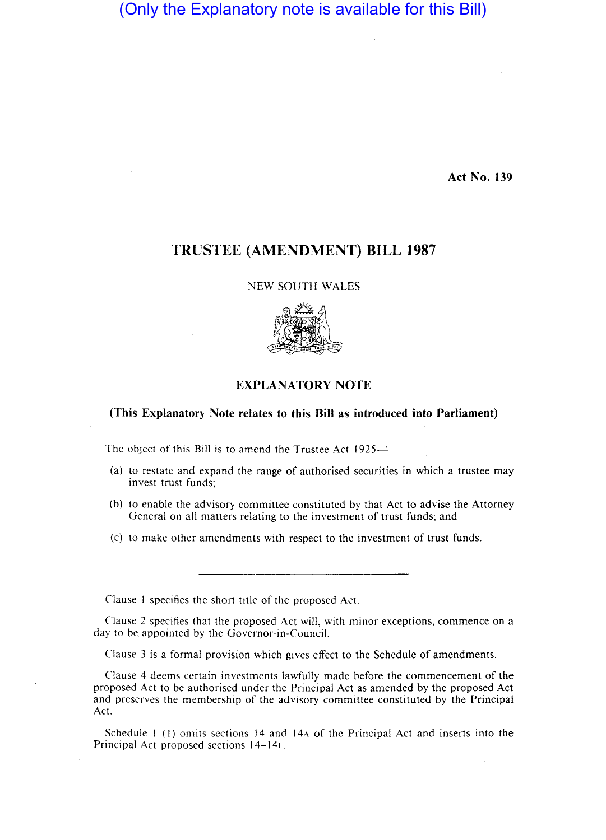# (Only the Explanatory note is available for this Bill)

Act No. 139

## TRUSTEE (AMENDMENT) **BILL 1987**

#### NEW SOUTH WALES



### EXPLANATORY NOTE

### (This Explanatory Note relates to this Bill as introduced into Parliament)

The object of this Bill is to amend the Trustee Act  $1925-$ 

- (a) to restate and expand the range of authorised securities in which a trustee may invest trust funds;
- (b) to enable the advisory committee constituted by that Act to advise the Attorney General on all matters relating to the investment of trust funds; and
- (c) to make other amendments with respect to the investment of trust funds.:

Clause 1 specifies the short title of the proposed Act.

Clause 2 specifies that the proposed Act will, with minor exceptions, commence on a day to be appointed by the Governor-in-Council.

Clause 3 is a formal provision which gives effect to the Schedule of amendments.

Clause 4 deems certain investments lawfully made before the commencement of the proposed Act to be authorised under the Principal Act as amended by the proposed Act and preserves the membership of the advisory committee constituted by the Principal Act. The contract of the contract of the contract of the contract of the contract of the contract of the contract of the contract of the contract of the contract of the contract of the contract of the contract of the contr

Schedule  $1$  (1) omits sections 14 and 14 $\alpha$  of the Principal Act and inserts into the Principal Act proposed sections 14-14E.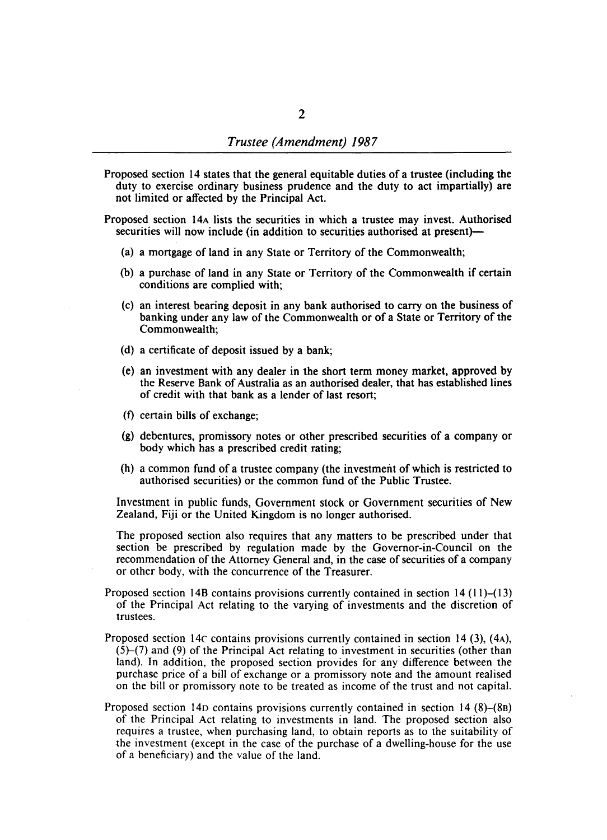Proposed section 14 states that the general equitable duties of a trustee (including the duty to exercise ordinary business prudence and the duty to act impartially) are not limited or affected by the Principal Act.

Proposed section 14A lists the securities in which a trustee may invest. Authorised securities will now include (in addition to securities authorised at present)-

- (a) a mortgage of land in any State or Territory of the Commonwealth;
- (b) a purchase of land in any State or Territory of the Commonwealth if certain conditions are complied with;
- (c) an interest bearing deposit in any bank authorised to carry on the business of banking under any law of the Commonwealth or of a State or Territory of the Commonwealth;
- (d) a certificate of deposit issued by a bank;
- (e) an investment with any dealer in the short term money market, approved by the Reserve Bank of Australia as an authorised dealer, that has established lines of credit with that bank as a lender of last resort;
- (f) certain bills of exchange;
- (g) debentures, promissory notes or other prescribed securities of a company or body which has a prescribed credit rating;
- (h) a common fund of a trustee company (the investment of which is restricted to authorised securities) or the common fund of the Public Trustee.

Investment in public funds, Government stock or Government securities of New Zealand, Fiji or the United Kingdom is no longer authorised.

The proposed section also requires that any matters to be prescribed under that section be prescribed by regulation made by the Governor-in-Council on the recommendation of the Attorney General and, in the case of securities of a company or other body, with the concurrence of the Treasurer.

- Proposed section 14B contains provisions currently contained in section 14  $(11)$ – $(13)$ of the Principal Act relating to the varying of investments and the discretion of trustees.
- Proposed section 14 $\epsilon$  contains provisions currently contained in section 14 (3), (4A), (5)-(7) and (9) of the Principal Act relating to investment in securities (other than land). In addition, the proposed section provides for any difference between the purchase price of a bill of exchange or a promissory note and the amount realised on the bill or promissory note to be treated as income of the trust and not capital.
- Proposed section 14D contains provisions currently contained in section 14 (8)-(88) of the Principal Act relating to investments in land. The proposed section also requires a trustee, when purchasing land, to obtain reports as to the suitability of the investment (except in the case of the purchase of a dwelling-house for the use of a beneficiary) and the value of the land.